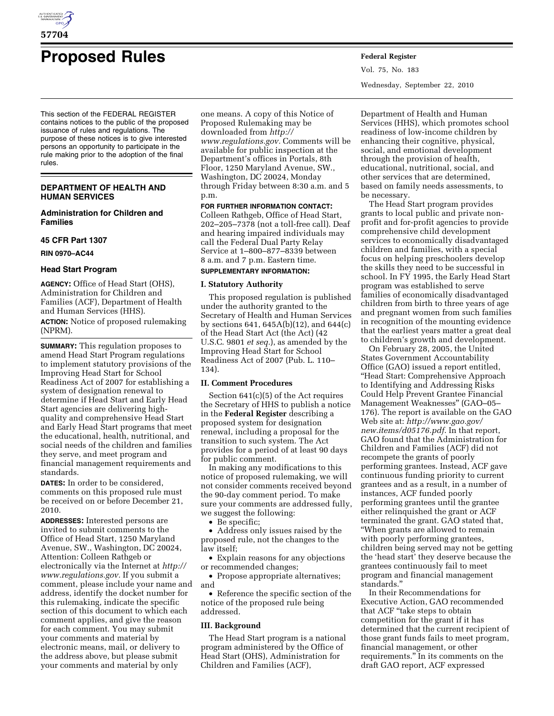

# **Proposed Rules Federal Register**

This section of the FEDERAL REGISTER contains notices to the public of the proposed issuance of rules and regulations. The purpose of these notices is to give interested persons an opportunity to participate in the rule making prior to the adoption of the final rules.

# **DEPARTMENT OF HEALTH AND HUMAN SERVICES**

# **Administration for Children and Families**

# **45 CFR Part 1307**

# **RIN 0970–AC44**

# **Head Start Program**

**AGENCY:** Office of Head Start (OHS), Administration for Children and Families (ACF), Department of Health and Human Services (HHS). **ACTION:** Notice of proposed rulemaking (NPRM).

**SUMMARY:** This regulation proposes to amend Head Start Program regulations to implement statutory provisions of the Improving Head Start for School Readiness Act of 2007 for establishing a system of designation renewal to determine if Head Start and Early Head Start agencies are delivering highquality and comprehensive Head Start and Early Head Start programs that meet the educational, health, nutritional, and social needs of the children and families they serve, and meet program and financial management requirements and standards.

**DATES:** In order to be considered, comments on this proposed rule must be received on or before December 21, 2010.

**ADDRESSES:** Interested persons are invited to submit comments to the Office of Head Start, 1250 Maryland Avenue, SW., Washington, DC 20024, Attention: Colleen Rathgeb or electronically via the Internet at *[http://](http://www.regulations.gov)  [www.regulations.gov.](http://www.regulations.gov)* If you submit a comment, please include your name and address, identify the docket number for this rulemaking, indicate the specific section of this document to which each comment applies, and give the reason for each comment. You may submit your comments and material by electronic means, mail, or delivery to the address above, but please submit your comments and material by only

one means. A copy of this Notice of Proposed Rulemaking may be downloaded from *[http://](http://www.regulations.gov) [www.regulations.gov.](http://www.regulations.gov)* Comments will be available for public inspection at the Department's offices in Portals, 8th Floor, 1250 Maryland Avenue, SW., Washington, DC 20024, Monday through Friday between 8:30 a.m. and 5 p.m.

# **FOR FURTHER INFORMATION CONTACT:**

Colleen Rathgeb, Office of Head Start, 202–205–7378 (not a toll-free call). Deaf and hearing impaired individuals may call the Federal Dual Party Relay Service at 1–800–877–8339 between 8 a.m. and 7 p.m. Eastern time.

# **SUPPLEMENTARY INFORMATION:**

## **I. Statutory Authority**

This proposed regulation is published under the authority granted to the Secretary of Health and Human Services by sections 641, 645A(b)(12), and 644(c) of the Head Start Act (the Act) (42 U.S.C. 9801 *et seq.*), as amended by the Improving Head Start for School Readiness Act of 2007 (Pub. L. 110– 134).

## **II. Comment Procedures**

Section 641(c)(5) of the Act requires the Secretary of HHS to publish a notice in the **Federal Register** describing a proposed system for designation renewal, including a proposal for the transition to such system. The Act provides for a period of at least 90 days for public comment.

In making any modifications to this notice of proposed rulemaking, we will not consider comments received beyond the 90-day comment period. To make sure your comments are addressed fully, we suggest the following:

• Be specific;

• Address only issues raised by the proposed rule, not the changes to the law itself;

• Explain reasons for any objections or recommended changes;

• Propose appropriate alternatives; and

• Reference the specific section of the notice of the proposed rule being addressed.

# **III. Background**

The Head Start program is a national program administered by the Office of Head Start (OHS), Administration for Children and Families (ACF),

Vol. 75, No. 183 Wednesday, September 22, 2010

Department of Health and Human Services (HHS), which promotes school readiness of low-income children by enhancing their cognitive, physical, social, and emotional development through the provision of health, educational, nutritional, social, and other services that are determined, based on family needs assessments, to be necessary.

The Head Start program provides grants to local public and private nonprofit and for-profit agencies to provide comprehensive child development services to economically disadvantaged children and families, with a special focus on helping preschoolers develop the skills they need to be successful in school. In FY 1995, the Early Head Start program was established to serve families of economically disadvantaged children from birth to three years of age and pregnant women from such families in recognition of the mounting evidence that the earliest years matter a great deal to children's growth and development.

On February 28, 2005, the United States Government Accountability Office (GAO) issued a report entitled, ''Head Start: Comprehensive Approach to Identifying and Addressing Risks Could Help Prevent Grantee Financial Management Weaknesses'' (GAO–05– 176). The report is available on the GAO Web site at: *[http://www.gao.gov/](http://www.gao.gov/new.items/d05176.pdf)  [new.items/d05176.pdf](http://www.gao.gov/new.items/d05176.pdf)*. In that report, GAO found that the Administration for Children and Families (ACF) did not recompete the grants of poorly performing grantees. Instead, ACF gave continuous funding priority to current grantees and as a result, in a number of instances, ACF funded poorly performing grantees until the grantee either relinquished the grant or ACF terminated the grant. GAO stated that, ''When grants are allowed to remain with poorly performing grantees, children being served may not be getting the 'head start' they deserve because the grantees continuously fail to meet program and financial management standards.''

In their Recommendations for Executive Action, GAO recommended that ACF "take steps to obtain competition for the grant if it has determined that the current recipient of those grant funds fails to meet program, financial management, or other requirements.'' In its comments on the draft GAO report, ACF expressed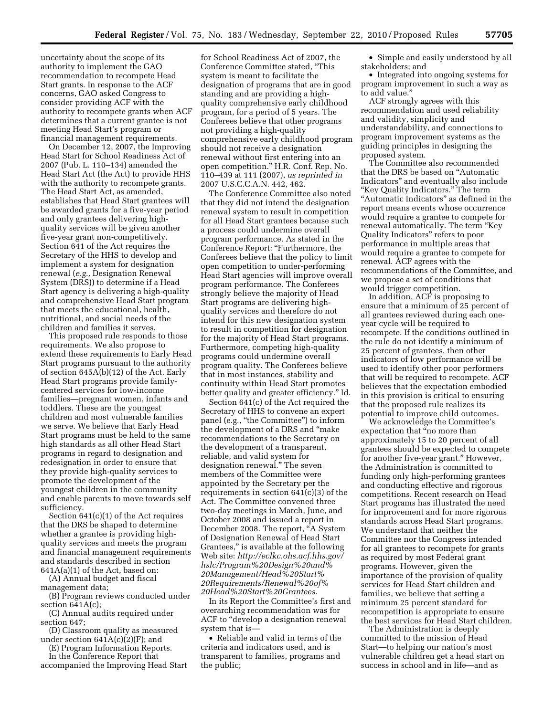uncertainty about the scope of its authority to implement the GAO recommendation to recompete Head Start grants. In response to the ACF concerns, GAO asked Congress to consider providing ACF with the authority to recompete grants when ACF determines that a current grantee is not meeting Head Start's program or financial management requirements.

On December 12, 2007, the Improving Head Start for School Readiness Act of 2007 (Pub. L. 110–134) amended the Head Start Act (the Act) to provide HHS with the authority to recompete grants. The Head Start Act, as amended, establishes that Head Start grantees will be awarded grants for a five-year period and only grantees delivering highquality services will be given another five-year grant non-competitively. Section 641 of the Act requires the Secretary of the HHS to develop and implement a system for designation renewal (*e.g.,* Designation Renewal System (DRS)) to determine if a Head Start agency is delivering a high-quality and comprehensive Head Start program that meets the educational, health, nutritional, and social needs of the children and families it serves.

This proposed rule responds to those requirements. We also propose to extend these requirements to Early Head Start programs pursuant to the authority of section 645A(b)(12) of the Act. Early Head Start programs provide familycentered services for low-income families—pregnant women, infants and toddlers. These are the youngest children and most vulnerable families we serve. We believe that Early Head Start programs must be held to the same high standards as all other Head Start programs in regard to designation and redesignation in order to ensure that they provide high-quality services to promote the development of the youngest children in the community and enable parents to move towards self sufficiency.

Section 641(c)(1) of the Act requires that the DRS be shaped to determine whether a grantee is providing highquality services and meets the program and financial management requirements and standards described in section 641A(a)(1) of the Act, based on:

(A) Annual budget and fiscal

management data;

(B) Program reviews conducted under section 641A(c);

(C) Annual audits required under section 647;

(D) Classroom quality as measured under section  $641A(c)(2)(F)$ ; and

(E) Program Information Reports.

In the Conference Report that accompanied the Improving Head Start for School Readiness Act of 2007, the Conference Committee stated, ''This system is meant to facilitate the designation of programs that are in good standing and are providing a highquality comprehensive early childhood program, for a period of 5 years. The Conferees believe that other programs not providing a high-quality comprehensive early childhood program should not receive a designation renewal without first entering into an open competition.'' H.R. Conf. Rep. No. 110–439 at 111 (2007), *as reprinted in*  2007 U.S.C.C.A.N. 442, 462.

The Conference Committee also noted that they did not intend the designation renewal system to result in competition for all Head Start grantees because such a process could undermine overall program performance. As stated in the Conference Report: ''Furthermore, the Conferees believe that the policy to limit open competition to under-performing Head Start agencies will improve overall program performance. The Conferees strongly believe the majority of Head Start programs are delivering highquality services and therefore do not intend for this new designation system to result in competition for designation for the majority of Head Start programs. Furthermore, competing high-quality programs could undermine overall program quality. The Conferees believe that in most instances, stability and continuity within Head Start promotes better quality and greater efficiency.'' Id.

Section 641(c) of the Act required the Secretary of HHS to convene an expert panel (e.g., ''the Committee'') to inform the development of a DRS and ''make recommendations to the Secretary on the development of a transparent, reliable, and valid system for designation renewal.'' The seven members of the Committee were appointed by the Secretary per the requirements in section 641(c)(3) of the Act. The Committee convened three two-day meetings in March, June, and October 2008 and issued a report in December 2008. The report, "A System of Designation Renewal of Head Start Grantees,'' is available at the following Web site: *[http://eclkc.ohs.acf.hhs.gov/](http://eclkc.ohs.acf.hhs.gov/hslc/Program%20Design%20and%20Management/Head%20Start%20Requirements/Renewal%20of%20Head%20Start%20Grantees) [hslc/Program%20Design%20and%](http://eclkc.ohs.acf.hhs.gov/hslc/Program%20Design%20and%20Management/Head%20Start%20Requirements/Renewal%20of%20Head%20Start%20Grantees) [20Management/Head%20Start%](http://eclkc.ohs.acf.hhs.gov/hslc/Program%20Design%20and%20Management/Head%20Start%20Requirements/Renewal%20of%20Head%20Start%20Grantees) [20Requirements/Renewal%20of%](http://eclkc.ohs.acf.hhs.gov/hslc/Program%20Design%20and%20Management/Head%20Start%20Requirements/Renewal%20of%20Head%20Start%20Grantees) [20Head%20Start%20Grantees.](http://eclkc.ohs.acf.hhs.gov/hslc/Program%20Design%20and%20Management/Head%20Start%20Requirements/Renewal%20of%20Head%20Start%20Grantees)* 

In its Report the Committee's first and overarching recommendation was for ACF to "develop a designation renewal system that is—

• Reliable and valid in terms of the criteria and indicators used, and is transparent to families, programs and the public;

• Simple and easily understood by all stakeholders; and

• Integrated into ongoing systems for program improvement in such a way as to add value.''

ACF strongly agrees with this recommendation and used reliability and validity, simplicity and understandability, and connections to program improvement systems as the guiding principles in designing the proposed system.

The Committee also recommended that the DRS be based on ''Automatic Indicators'' and eventually also include ''Key Quality Indicators.'' The term "Automatic Indicators" as defined in the report means events whose occurrence would require a grantee to compete for renewal automatically. The term ''Key Quality Indicators'' refers to poor performance in multiple areas that would require a grantee to compete for renewal. ACF agrees with the recommendations of the Committee, and we propose a set of conditions that would trigger competition.

In addition, ACF is proposing to ensure that a minimum of 25 percent of all grantees reviewed during each oneyear cycle will be required to recompete. If the conditions outlined in the rule do not identify a minimum of 25 percent of grantees, then other indicators of low performance will be used to identify other poor performers that will be required to recompete. ACF believes that the expectation embodied in this provision is critical to ensuring that the proposed rule realizes its potential to improve child outcomes.

We acknowledge the Committee's expectation that ''no more than approximately 15 to 20 percent of all grantees should be expected to compete for another five-year grant.'' However, the Administration is committed to funding only high-performing grantees and conducting effective and rigorous competitions. Recent research on Head Start programs has illustrated the need for improvement and for more rigorous standards across Head Start programs. We understand that neither the Committee nor the Congress intended for all grantees to recompete for grants as required by most Federal grant programs. However, given the importance of the provision of quality services for Head Start children and families, we believe that setting a minimum 25 percent standard for recompetition is appropriate to ensure the best services for Head Start children.

The Administration is deeply committed to the mission of Head Start—to helping our nation's most vulnerable children get a head start on success in school and in life—and as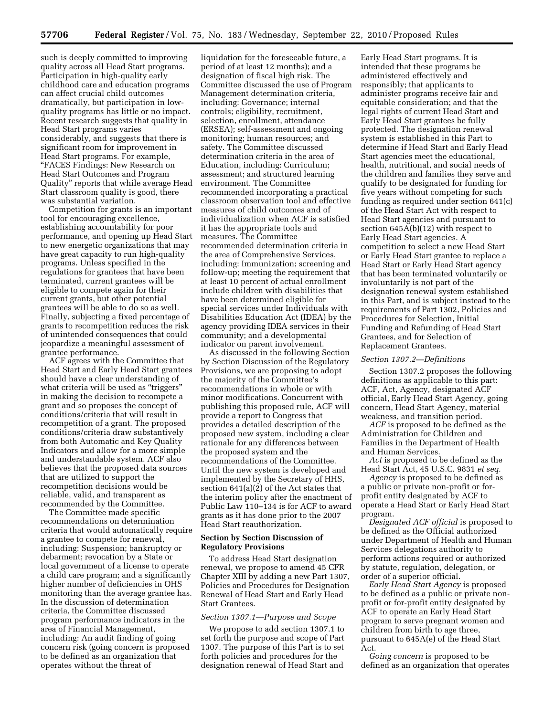such is deeply committed to improving quality across all Head Start programs. Participation in high-quality early childhood care and education programs can affect crucial child outcomes dramatically, but participation in lowquality programs has little or no impact. Recent research suggests that quality in Head Start programs varies considerably, and suggests that there is significant room for improvement in Head Start programs. For example, ''FACES Findings: New Research on Head Start Outcomes and Program Quality'' reports that while average Head Start classroom quality is good, there was substantial variation.

Competition for grants is an important tool for encouraging excellence, establishing accountability for poor performance, and opening up Head Start to new energetic organizations that may have great capacity to run high-quality programs. Unless specified in the regulations for grantees that have been terminated, current grantees will be eligible to compete again for their current grants, but other potential grantees will be able to do so as well. Finally, subjecting a fixed percentage of grants to recompetition reduces the risk of unintended consequences that could jeopardize a meaningful assessment of grantee performance.

ACF agrees with the Committee that Head Start and Early Head Start grantees should have a clear understanding of what criteria will be used as "triggers" in making the decision to recompete a grant and so proposes the concept of conditions/criteria that will result in recompetition of a grant. The proposed conditions/criteria draw substantively from both Automatic and Key Quality Indicators and allow for a more simple and understandable system. ACF also believes that the proposed data sources that are utilized to support the recompetition decisions would be reliable, valid, and transparent as recommended by the Committee.

The Committee made specific recommendations on determination criteria that would automatically require a grantee to compete for renewal, including: Suspension; bankruptcy or debarment; revocation by a State or local government of a license to operate a child care program; and a significantly higher number of deficiencies in OHS monitoring than the average grantee has. In the discussion of determination criteria, the Committee discussed program performance indicators in the area of Financial Management, including: An audit finding of going concern risk (going concern is proposed to be defined as an organization that operates without the threat of

liquidation for the foreseeable future, a period of at least 12 months); and a designation of fiscal high risk. The Committee discussed the use of Program Management determination criteria, including: Governance; internal controls; eligibility, recruitment, selection, enrollment, attendance (ERSEA); self-assessment and ongoing monitoring; human resources; and safety. The Committee discussed determination criteria in the area of Education, including: Curriculum; assessment; and structured learning environment. The Committee recommended incorporating a practical classroom observation tool and effective measures of child outcomes and of individualization when ACF is satisfied it has the appropriate tools and measures. The Committee recommended determination criteria in the area of Comprehensive Services, including: Immunization; screening and follow-up; meeting the requirement that at least 10 percent of actual enrollment include children with disabilities that have been determined eligible for special services under Individuals with Disabilities Education Act (IDEA) by the agency providing IDEA services in their community; and a developmental indicator on parent involvement.

As discussed in the following Section by Section Discussion of the Regulatory Provisions, we are proposing to adopt the majority of the Committee's recommendations in whole or with minor modifications. Concurrent with publishing this proposed rule, ACF will provide a report to Congress that provides a detailed description of the proposed new system, including a clear rationale for any differences between the proposed system and the recommendations of the Committee. Until the new system is developed and implemented by the Secretary of HHS, section 641(a)(2) of the Act states that the interim policy after the enactment of Public Law 110–134 is for ACF to award grants as it has done prior to the 2007 Head Start reauthorization.

# **Section by Section Discussion of Regulatory Provisions**

To address Head Start designation renewal, we propose to amend 45 CFR Chapter XIII by adding a new Part 1307, Policies and Procedures for Designation Renewal of Head Start and Early Head Start Grantees.

#### *Section 1307.1—Purpose and Scope*

We propose to add section 1307.1 to set forth the purpose and scope of Part 1307. The purpose of this Part is to set forth policies and procedures for the designation renewal of Head Start and

Early Head Start programs. It is intended that these programs be administered effectively and responsibly; that applicants to administer programs receive fair and equitable consideration; and that the legal rights of current Head Start and Early Head Start grantees be fully protected. The designation renewal system is established in this Part to determine if Head Start and Early Head Start agencies meet the educational, health, nutritional, and social needs of the children and families they serve and qualify to be designated for funding for five years without competing for such funding as required under section 641(c) of the Head Start Act with respect to Head Start agencies and pursuant to section 645A(b)(12) with respect to Early Head Start agencies. A competition to select a new Head Start or Early Head Start grantee to replace a Head Start or Early Head Start agency that has been terminated voluntarily or involuntarily is not part of the designation renewal system established in this Part, and is subject instead to the requirements of Part 1302, Policies and Procedures for Selection, Initial Funding and Refunding of Head Start Grantees, and for Selection of Replacement Grantees.

#### *Section 1307.2—Definitions*

Section 1307.2 proposes the following definitions as applicable to this part: ACF, Act, Agency, designated ACF official, Early Head Start Agency, going concern, Head Start Agency, material weakness, and transition period.

*ACF* is proposed to be defined as the Administration for Children and Families in the Department of Health and Human Services.

*Act* is proposed to be defined as the Head Start Act, 45 U.S.C. 9831 *et seq.* 

*Agency* is proposed to be defined as a public or private non-profit or forprofit entity designated by ACF to operate a Head Start or Early Head Start program.

*Designated ACF official* is proposed to be defined as the Official authorized under Department of Health and Human Services delegations authority to perform actions required or authorized by statute, regulation, delegation, or order of a superior official.

*Early Head Start Agency* is proposed to be defined as a public or private nonprofit or for-profit entity designated by ACF to operate an Early Head Start program to serve pregnant women and children from birth to age three, pursuant to 645A(e) of the Head Start Act.

*Going concern* is proposed to be defined as an organization that operates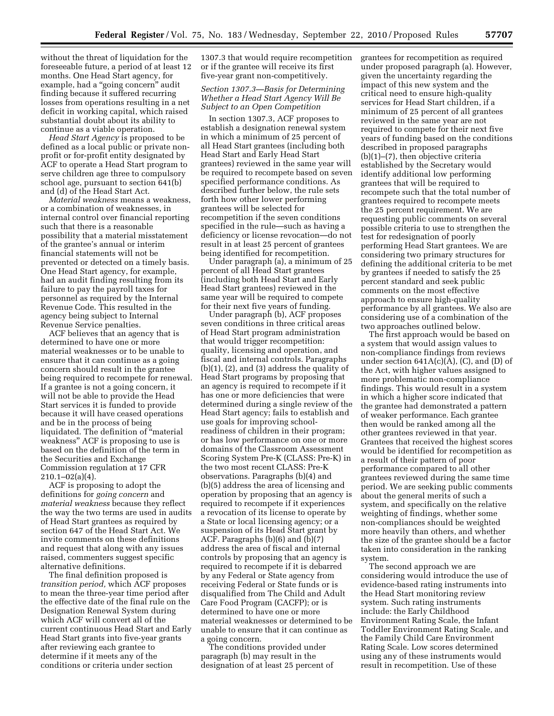without the threat of liquidation for the foreseeable future, a period of at least 12 months. One Head Start agency, for example, had a "going concern" audit finding because it suffered recurring losses from operations resulting in a net deficit in working capital, which raised substantial doubt about its ability to continue as a viable operation.

*Head Start Agency* is proposed to be defined as a local public or private nonprofit or for-profit entity designated by ACF to operate a Head Start program to serve children age three to compulsory school age, pursuant to section 641(b) and (d) of the Head Start Act.

*Material weakness* means a weakness, or a combination of weaknesses, in internal control over financial reporting such that there is a reasonable possibility that a material misstatement of the grantee's annual or interim financial statements will not be prevented or detected on a timely basis. One Head Start agency, for example, had an audit finding resulting from its failure to pay the payroll taxes for personnel as required by the Internal Revenue Code. This resulted in the agency being subject to Internal Revenue Service penalties.

ACF believes that an agency that is determined to have one or more material weaknesses or to be unable to ensure that it can continue as a going concern should result in the grantee being required to recompete for renewal. If a grantee is not a going concern, it will not be able to provide the Head Start services it is funded to provide because it will have ceased operations and be in the process of being liquidated. The definition of ''material weakness'' ACF is proposing to use is based on the definition of the term in the Securities and Exchange Commission regulation at 17 CFR 210.1–02(a)(4).

ACF is proposing to adopt the definitions for *going concern* and *material weakness* because they reflect the way the two terms are used in audits of Head Start grantees as required by section 647 of the Head Start Act. We invite comments on these definitions and request that along with any issues raised, commenters suggest specific alternative definitions.

The final definition proposed is *transition period,* which ACF proposes to mean the three-year time period after the effective date of the final rule on the Designation Renewal System during which ACF will convert all of the current continuous Head Start and Early Head Start grants into five-year grants after reviewing each grantee to determine if it meets any of the conditions or criteria under section

1307.3 that would require recompetition or if the grantee will receive its first five-year grant non-competitively.

# *Section 1307.3—Basis for Determining Whether a Head Start Agency Will Be Subject to an Open Competition*

In section 1307.3, ACF proposes to establish a designation renewal system in which a minimum of 25 percent of all Head Start grantees (including both Head Start and Early Head Start grantees) reviewed in the same year will be required to recompete based on seven specified performance conditions. As described further below, the rule sets forth how other lower performing grantees will be selected for recompetition if the seven conditions specified in the rule—such as having a deficiency or license revocation—do not result in at least 25 percent of grantees being identified for recompetition.

Under paragraph (a), a minimum of 25 percent of all Head Start grantees (including both Head Start and Early Head Start grantees) reviewed in the same year will be required to compete for their next five years of funding.

Under paragraph (b), ACF proposes seven conditions in three critical areas of Head Start program administration that would trigger recompetition: quality, licensing and operation, and fiscal and internal controls. Paragraphs (b)(1), (2), and (3) address the quality of Head Start programs by proposing that an agency is required to recompete if it has one or more deficiencies that were determined during a single review of the Head Start agency; fails to establish and use goals for improving schoolreadiness of children in their program; or has low performance on one or more domains of the Classroom Assessment Scoring System Pre-K (CLASS: Pre-K) in the two most recent CLASS: Pre-K observations. Paragraphs (b)(4) and (b)(5) address the area of licensing and operation by proposing that an agency is required to recompete if it experiences a revocation of its license to operate by a State or local licensing agency; or a suspension of its Head Start grant by ACF. Paragraphs (b)(6) and (b)(7) address the area of fiscal and internal controls by proposing that an agency is required to recompete if it is debarred by any Federal or State agency from receiving Federal or State funds or is disqualified from The Child and Adult Care Food Program (CACFP); or is determined to have one or more material weaknesses or determined to be unable to ensure that it can continue as a going concern.

The conditions provided under paragraph (b) may result in the designation of at least 25 percent of grantees for recompetition as required under proposed paragraph (a). However, given the uncertainty regarding the impact of this new system and the critical need to ensure high-quality services for Head Start children, if a minimum of 25 percent of all grantees reviewed in the same year are not required to compete for their next five years of funding based on the conditions described in proposed paragraphs (b)(1)–(7), then objective criteria established by the Secretary would identify additional low performing grantees that will be required to recompete such that the total number of grantees required to recompete meets the 25 percent requirement. We are requesting public comments on several possible criteria to use to strengthen the test for redesignation of poorly performing Head Start grantees. We are considering two primary structures for defining the additional criteria to be met by grantees if needed to satisfy the 25 percent standard and seek public comments on the most effective approach to ensure high-quality performance by all grantees. We also are considering use of a combination of the two approaches outlined below.

The first approach would be based on a system that would assign values to non-compliance findings from reviews under section  $641A(c)(A)$ , (C), and (D) of the Act, with higher values assigned to more problematic non-compliance findings. This would result in a system in which a higher score indicated that the grantee had demonstrated a pattern of weaker performance. Each grantee then would be ranked among all the other grantees reviewed in that year. Grantees that received the highest scores would be identified for recompetition as a result of their pattern of poor performance compared to all other grantees reviewed during the same time period. We are seeking public comments about the general merits of such a system, and specifically on the relative weighting of findings, whether some non-compliances should be weighted more heavily than others, and whether the size of the grantee should be a factor taken into consideration in the ranking system.

The second approach we are considering would introduce the use of evidence-based rating instruments into the Head Start monitoring review system. Such rating instruments include: the Early Childhood Environment Rating Scale, the Infant Toddler Environment Rating Scale, and the Family Child Care Environment Rating Scale. Low scores determined using any of these instruments would result in recompetition. Use of these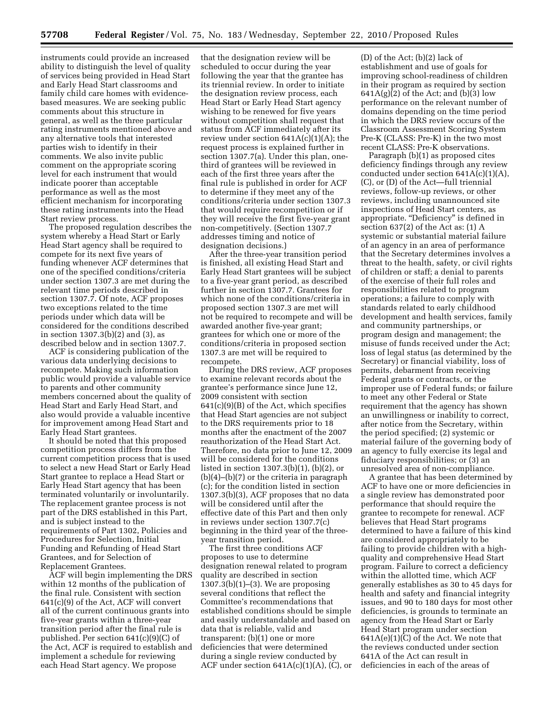instruments could provide an increased ability to distinguish the level of quality of services being provided in Head Start and Early Head Start classrooms and family child care homes with evidencebased measures. We are seeking public comments about this structure in general, as well as the three particular rating instruments mentioned above and any alternative tools that interested parties wish to identify in their comments. We also invite public comment on the appropriate scoring level for each instrument that would indicate poorer than acceptable performance as well as the most efficient mechanism for incorporating these rating instruments into the Head Start review process.

The proposed regulation describes the system whereby a Head Start or Early Head Start agency shall be required to compete for its next five years of funding whenever ACF determines that one of the specified conditions/criteria under section 1307.3 are met during the relevant time periods described in section 1307.7. Of note, ACF proposes two exceptions related to the time periods under which data will be considered for the conditions described in section 1307.3(b)(2) and (3), as described below and in section 1307.7.

ACF is considering publication of the various data underlying decisions to recompete. Making such information public would provide a valuable service to parents and other community members concerned about the quality of Head Start and Early Head Start, and also would provide a valuable incentive for improvement among Head Start and Early Head Start grantees.

It should be noted that this proposed competition process differs from the current competition process that is used to select a new Head Start or Early Head Start grantee to replace a Head Start or Early Head Start agency that has been terminated voluntarily or involuntarily. The replacement grantee process is not part of the DRS established in this Part, and is subject instead to the requirements of Part 1302, Policies and Procedures for Selection, Initial Funding and Refunding of Head Start Grantees, and for Selection of Replacement Grantees.

ACF will begin implementing the DRS within 12 months of the publication of the final rule. Consistent with section 641(c)(9) of the Act, ACF will convert all of the current continuous grants into five-year grants within a three-year transition period after the final rule is published. Per section 641(c)(9)(C) of the Act, ACF is required to establish and implement a schedule for reviewing each Head Start agency. We propose

that the designation review will be scheduled to occur during the year following the year that the grantee has its triennial review. In order to initiate the designation review process, each Head Start or Early Head Start agency wishing to be renewed for five years without competition shall request that status from ACF immediately after its review under section  $641A(c)(1)(A)$ ; the request process is explained further in section 1307.7(a). Under this plan, onethird of grantees will be reviewed in each of the first three years after the final rule is published in order for ACF to determine if they meet any of the conditions/criteria under section 1307.3 that would require recompetition or if they will receive the first five-year grant non-competitively. (Section 1307.7 addresses timing and notice of designation decisions.)

After the three-year transition period is finished, all existing Head Start and Early Head Start grantees will be subject to a five-year grant period, as described further in section 1307.7. Grantees for which none of the conditions/criteria in proposed section 1307.3 are met will not be required to recompete and will be awarded another five-year grant; grantees for which one or more of the conditions/criteria in proposed section 1307.3 are met will be required to recompete.

During the DRS review, ACF proposes to examine relevant records about the grantee's performance since June 12, 2009 consistent with section  $641(c)(9)(B)$  of the Act, which specifies that Head Start agencies are not subject to the DRS requirements prior to 18 months after the enactment of the 2007 reauthorization of the Head Start Act. Therefore, no data prior to June 12, 2009 will be considered for the conditions listed in section 1307.3(b)(1), (b)(2), or (b)(4)–(b)(7) or the criteria in paragraph (c); for the condition listed in section 1307.3(b)(3), ACF proposes that no data will be considered until after the effective date of this Part and then only in reviews under section 1307.7(c) beginning in the third year of the threeyear transition period.

The first three conditions ACF proposes to use to determine designation renewal related to program quality are described in section  $1307.3(b)(1)–(3)$ . We are proposing several conditions that reflect the Committee's recommendations that established conditions should be simple and easily understandable and based on data that is reliable, valid and transparent: (b)(1) one or more deficiencies that were determined during a single review conducted by ACF under section  $641A(c)(1)(A)$ , (C), or

(D) of the Act; (b)(2) lack of establishment and use of goals for improving school-readiness of children in their program as required by section 641A(g)(2) of the Act; and  $(b)(3)$  low performance on the relevant number of domains depending on the time period in which the DRS review occurs of the Classroom Assessment Scoring System Pre-K (CLASS: Pre-K) in the two most recent CLASS: Pre-K observations.

Paragraph (b)(1) as proposed cites deficiency findings through any review conducted under section 641A(c)(1)(A), (C), or (D) of the Act—full triennial reviews, follow-up reviews, or other reviews, including unannounced site inspections of Head Start centers, as appropriate. "Deficiency" is defined in section 637(2) of the Act as: (1) A systemic or substantial material failure of an agency in an area of performance that the Secretary determines involves a threat to the health, safety, or civil rights of children or staff; a denial to parents of the exercise of their full roles and responsibilities related to program operations; a failure to comply with standards related to early childhood development and health services, family and community partnerships, or program design and management; the misuse of funds received under the Act; loss of legal status (as determined by the Secretary) or financial viability, loss of permits, debarment from receiving Federal grants or contracts, or the improper use of Federal funds; or failure to meet any other Federal or State requirement that the agency has shown an unwillingness or inability to correct, after notice from the Secretary, within the period specified; (2) systemic or material failure of the governing body of an agency to fully exercise its legal and fiduciary responsibilities; or (3) an unresolved area of non-compliance.

A grantee that has been determined by ACF to have one or more deficiencies in a single review has demonstrated poor performance that should require the grantee to recompete for renewal. ACF believes that Head Start programs determined to have a failure of this kind are considered appropriately to be failing to provide children with a highquality and comprehensive Head Start program. Failure to correct a deficiency within the allotted time, which ACF generally establishes as 30 to 45 days for health and safety and financial integrity issues, and 90 to 180 days for most other deficiencies, is grounds to terminate an agency from the Head Start or Early Head Start program under section 641A(e)(1)(C) of the Act. We note that the reviews conducted under section 641A of the Act can result in deficiencies in each of the areas of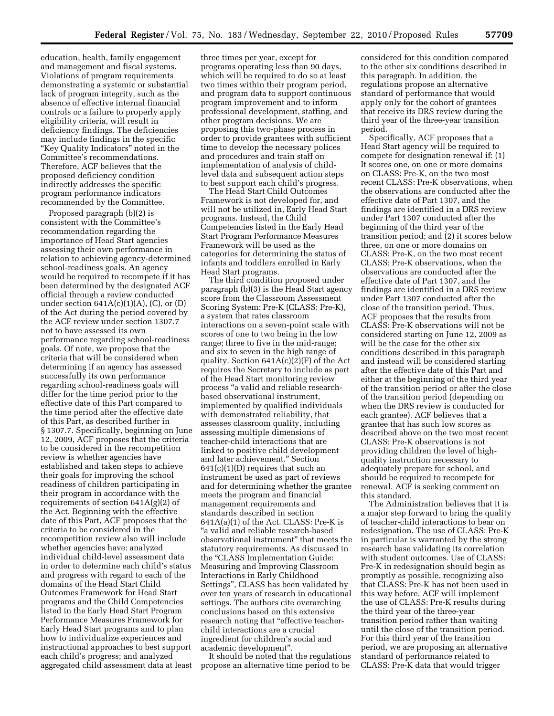education, health, family engagement and management and fiscal systems. Violations of program requirements demonstrating a systemic or substantial lack of program integrity, such as the absence of effective internal financial controls or a failure to properly apply eligibility criteria, will result in deficiency findings. The deficiencies may include findings in the specific ''Key Quality Indicators'' noted in the Committee's recommendations. Therefore, ACF believes that the proposed deficiency condition indirectly addresses the specific program performance indicators recommended by the Committee.

Proposed paragraph (b)(2) is consistent with the Committee's recommendation regarding the importance of Head Start agencies assessing their own performance in relation to achieving agency-determined school-readiness goals. An agency would be required to recompete if it has been determined by the designated ACF official through a review conducted under section  $641A(c)(1)(A)$ , (C), or (D) of the Act during the period covered by the ACF review under section 1307.7 not to have assessed its own performance regarding school-readiness goals. Of note, we propose that the criteria that will be considered when determining if an agency has assessed successfully its own performance regarding school-readiness goals will differ for the time period prior to the effective date of this Part compared to the time period after the effective date of this Part, as described further in § 1307.7. Specifically, beginning on June 12, 2009, ACF proposes that the criteria to be considered in the recompetition review is whether agencies have established and taken steps to achieve their goals for improving the school readiness of children participating in their program in accordance with the requirements of section 641A(g)(2) of the Act. Beginning with the effective date of this Part, ACF proposes that the criteria to be considered in the recompetition review also will include whether agencies have: analyzed individual child-level assessment data in order to determine each child's status and progress with regard to each of the domains of the Head Start Child Outcomes Framework for Head Start programs and the Child Competencies listed in the Early Head Start Program Performance Measures Framework for Early Head Start programs and to plan how to individualize experiences and instructional approaches to best support each child's progress; and analyzed aggregated child assessment data at least

three times per year, except for programs operating less than 90 days, which will be required to do so at least two times within their program period, and program data to support continuous program improvement and to inform professional development, staffing, and other program decisions. We are proposing this two-phase process in order to provide grantees with sufficient time to develop the necessary polices and procedures and train staff on implementation of analysis of childlevel data and subsequent action steps to best support each child's progress.

The Head Start Child Outcomes Framework is not developed for, and will not be utilized in, Early Head Start programs. Instead, the Child Competencies listed in the Early Head Start Program Performance Measures Framework will be used as the categories for determining the status of infants and toddlers enrolled in Early Head Start programs.

The third condition proposed under paragraph (b)(3) is the Head Start agency score from the Classroom Assessment Scoring System: Pre-K (CLASS: Pre-K), a system that rates classroom interactions on a seven-point scale with scores of one to two being in the low range; three to five in the mid-range; and six to seven in the high range of quality. Section 641A(c)(2)(F) of the Act requires the Secretary to include as part of the Head Start monitoring review process ''a valid and reliable researchbased observational instrument, implemented by qualified individuals with demonstrated reliability, that assesses classroom quality, including assessing multiple dimensions of teacher-child interactions that are linked to positive child development and later achievement.'' Section  $641(c)(1)(D)$  requires that such an instrument be used as part of reviews and for determining whether the grantee meets the program and financial management requirements and standards described in section 641A(a)(1) of the Act. CLASS: Pre-K is ''a valid and reliable research-based observational instrument'' that meets the statutory requirements. As discussed in the ''CLASS Implementation Guide: Measuring and Improving Classroom Interactions in Early Childhood Settings'', CLASS has been validated by over ten years of research in educational settings. The authors cite overarching conclusions based on this extensive research noting that ''effective teacherchild interactions are a crucial ingredient for children's social and academic development''.

It should be noted that the regulations propose an alternative time period to be

considered for this condition compared to the other six conditions described in this paragraph. In addition, the regulations propose an alternative standard of performance that would apply only for the cohort of grantees that receive its DRS review during the third year of the three-year transition period.

Specifically, ACF proposes that a Head Start agency will be required to compete for designation renewal if: (1) It scores one, on one or more domains on CLASS: Pre-K, on the two most recent CLASS: Pre-K observations, when the observations are conducted after the effective date of Part 1307, and the findings are identified in a DRS review under Part 1307 conducted after the beginning of the third year of the transition period; and (2) it scores below three, on one or more domains on CLASS: Pre-K, on the two most recent CLASS: Pre-K observations, when the observations are conducted after the effective date of Part 1307, and the findings are identified in a DRS review under Part 1307 conducted after the close of the transition period. Thus, ACF proposes that the results from CLASS: Pre-K observations will not be considered starting on June 12, 2009 as will be the case for the other six conditions described in this paragraph and instead will be considered starting after the effective date of this Part and either at the beginning of the third year of the transition period or after the close of the transition period (depending on when the DRS review is conducted for each grantee). ACF believes that a grantee that has such low scores as described above on the two most recent CLASS: Pre-K observations is not providing children the level of highquality instruction necessary to adequately prepare for school, and should be required to recompete for renewal. ACF is seeking comment on this standard.

The Administration believes that it is a major step forward to bring the quality of teacher-child interactions to bear on redesignation. The use of CLASS: Pre-K in particular is warranted by the strong research base validating its correlation with student outcomes. Use of CLASS: Pre-K in redesignation should begin as promptly as possible, recognizing also that CLASS: Pre-K has not been used in this way before. ACF will implement the use of CLASS: Pre-K results during the third year of the three-year transition period rather than waiting until the close of the transition period. For this third year of the transition period, we are proposing an alternative standard of performance related to CLASS: Pre-K data that would trigger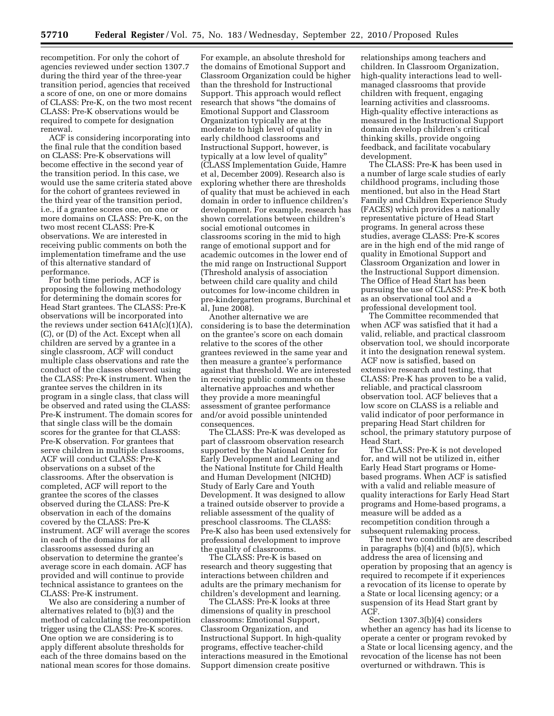recompetition. For only the cohort of agencies reviewed under section 1307.7 during the third year of the three-year transition period, agencies that received a score of one, on one or more domains of CLASS: Pre-K, on the two most recent CLASS: Pre-K observations would be required to compete for designation renewal.

ACF is considering incorporating into the final rule that the condition based on CLASS: Pre-K observations will become effective in the second year of the transition period. In this case, we would use the same criteria stated above for the cohort of grantees reviewed in the third year of the transition period, i.e., if a grantee scores one, on one or more domains on CLASS: Pre-K, on the two most recent CLASS: Pre-K observations. We are interested in receiving public comments on both the implementation timeframe and the use of this alternative standard of performance.

For both time periods, ACF is proposing the following methodology for determining the domain scores for Head Start grantees. The CLASS: Pre-K observations will be incorporated into the reviews under section  $641A(c)(1)(A)$ , (C), or (D) of the Act. Except when all children are served by a grantee in a single classroom, ACF will conduct multiple class observations and rate the conduct of the classes observed using the CLASS: Pre-K instrument. When the grantee serves the children in its program in a single class, that class will be observed and rated using the CLASS: Pre-K instrument. The domain scores for that single class will be the domain scores for the grantee for that CLASS: Pre-K observation. For grantees that serve children in multiple classrooms, ACF will conduct CLASS: Pre-K observations on a subset of the classrooms. After the observation is completed, ACF will report to the grantee the scores of the classes observed during the CLASS: Pre-K observation in each of the domains covered by the CLASS: Pre-K instrument. ACF will average the scores in each of the domains for all classrooms assessed during an observation to determine the grantee's average score in each domain. ACF has provided and will continue to provide technical assistance to grantees on the CLASS: Pre-K instrument.

We also are considering a number of alternatives related to (b)(3) and the method of calculating the recompetition trigger using the CLASS: Pre-K scores. One option we are considering is to apply different absolute thresholds for each of the three domains based on the national mean scores for those domains.

For example, an absolute threshold for the domains of Emotional Support and Classroom Organization could be higher than the threshold for Instructional Support. This approach would reflect research that shows ''the domains of Emotional Support and Classroom Organization typically are at the moderate to high level of quality in early childhood classrooms and Instructional Support, however, is typically at a low level of quality'' (CLASS Implementation Guide, Hamre et al, December 2009). Research also is exploring whether there are thresholds of quality that must be achieved in each domain in order to influence children's development. For example, research has shown correlations between children's social emotional outcomes in classrooms scoring in the mid to high range of emotional support and for academic outcomes in the lower end of the mid range on Instructional Support (Threshold analysis of association between child care quality and child outcomes for low-income children in pre-kindergarten programs, Burchinal et al, June 2008).

Another alternative we are considering is to base the determination on the grantee's score on each domain relative to the scores of the other grantees reviewed in the same year and then measure a grantee's performance against that threshold. We are interested in receiving public comments on these alternative approaches and whether they provide a more meaningful assessment of grantee performance and/or avoid possible unintended consequences.

The CLASS: Pre-K was developed as part of classroom observation research supported by the National Center for Early Development and Learning and the National Institute for Child Health and Human Development (NICHD) Study of Early Care and Youth Development. It was designed to allow a trained outside observer to provide a reliable assessment of the quality of preschool classrooms. The CLASS: Pre-K also has been used extensively for professional development to improve the quality of classrooms.

The CLASS: Pre-K is based on research and theory suggesting that interactions between children and adults are the primary mechanism for children's development and learning.

The CLASS: Pre-K looks at three dimensions of quality in preschool classrooms: Emotional Support, Classroom Organization, and Instructional Support. In high-quality programs, effective teacher-child interactions measured in the Emotional Support dimension create positive

relationships among teachers and children. In Classroom Organization, high-quality interactions lead to wellmanaged classrooms that provide children with frequent, engaging learning activities and classrooms. High-quality effective interactions as measured in the Instructional Support domain develop children's critical thinking skills, provide ongoing feedback, and facilitate vocabulary development.

The CLASS: Pre-K has been used in a number of large scale studies of early childhood programs, including those mentioned, but also in the Head Start Family and Children Experience Study (FACES) which provides a nationally representative picture of Head Start programs. In general across these studies, average CLASS: Pre-K scores are in the high end of the mid range of quality in Emotional Support and Classroom Organization and lower in the Instructional Support dimension. The Office of Head Start has been pursuing the use of CLASS: Pre-K both as an observational tool and a professional development tool.

The Committee recommended that when ACF was satisfied that it had a valid, reliable, and practical classroom observation tool, we should incorporate it into the designation renewal system. ACF now is satisfied, based on extensive research and testing, that CLASS: Pre-K has proven to be a valid, reliable, and practical classroom observation tool. ACF believes that a low score on CLASS is a reliable and valid indicator of poor performance in preparing Head Start children for school, the primary statutory purpose of Head Start.

The CLASS: Pre-K is not developed for, and will not be utilized in, either Early Head Start programs or Homebased programs. When ACF is satisfied with a valid and reliable measure of quality interactions for Early Head Start programs and Home-based programs, a measure will be added as a recompetition condition through a subsequent rulemaking process.

The next two conditions are described in paragraphs (b)(4) and (b)(5), which address the area of licensing and operation by proposing that an agency is required to recompete if it experiences a revocation of its license to operate by a State or local licensing agency; or a suspension of its Head Start grant by  $ACF$ 

Section 1307.3(b)(4) considers whether an agency has had its license to operate a center or program revoked by a State or local licensing agency, and the revocation of the license has not been overturned or withdrawn. This is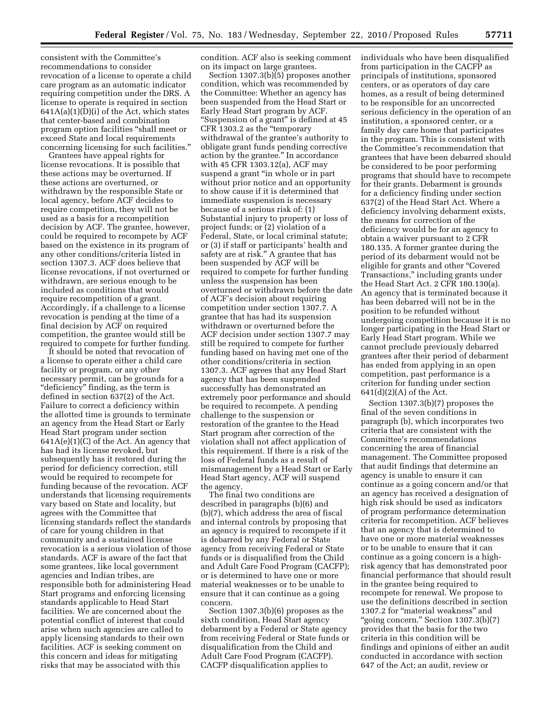consistent with the Committee's recommendations to consider revocation of a license to operate a child care program as an automatic indicator requiring competition under the DRS. A license to operate is required in section  $641A(a)(1)(D)(i)$  of the Act, which states that center-based and combination program option facilities ''shall meet or exceed State and local requirements concerning licensing for such facilities.''

Grantees have appeal rights for license revocations. It is possible that these actions may be overturned. If these actions are overturned, or withdrawn by the responsible State or local agency, before ACF decides to require competition, they will not be used as a basis for a recompetition decision by ACF. The grantee, however, could be required to recompete by ACF based on the existence in its program of any other conditions/criteria listed in section 1307.3. ACF does believe that license revocations, if not overturned or withdrawn, are serious enough to be included as conditions that would require recompetition of a grant. Accordingly, if a challenge to a license revocation is pending at the time of a final decision by ACF on required competition, the grantee would still be required to compete for further funding.

It should be noted that revocation of a license to operate either a child care facility or program, or any other necessary permit, can be grounds for a ''deficiency'' finding, as the term is defined in section 637(2) of the Act. Failure to correct a deficiency within the allotted time is grounds to terminate an agency from the Head Start or Early Head Start program under section  $641A(e)(1)(C)$  of the Act. An agency that has had its license revoked, but subsequently has it restored during the period for deficiency correction, still would be required to recompete for funding because of the revocation. ACF understands that licensing requirements vary based on State and locality, but agrees with the Committee that licensing standards reflect the standards of care for young children in that community and a sustained license revocation is a serious violation of those standards. ACF is aware of the fact that some grantees, like local government agencies and Indian tribes, are responsible both for administering Head Start programs and enforcing licensing standards applicable to Head Start facilities. We are concerned about the potential conflict of interest that could arise when such agencies are called to apply licensing standards to their own facilities. ACF is seeking comment on this concern and ideas for mitigating risks that may be associated with this

condition. ACF also is seeking comment on its impact on large grantees.

Section 1307.3(b)(5) proposes another condition, which was recommended by the Committee: Whether an agency has been suspended from the Head Start or Early Head Start program by ACF. "Suspension of a grant" is defined at 45 CFR 1303.2 as the ''temporary withdrawal of the grantee's authority to obligate grant funds pending corrective action by the grantee.'' In accordance with 45 CFR 1303.12(a), ACF may suspend a grant ''in whole or in part without prior notice and an opportunity to show cause if it is determined that immediate suspension is necessary because of a serious risk of: (1) Substantial injury to property or loss of project funds; or (2) violation of a Federal, State, or local criminal statute; or (3) if staff or participants' health and safety are at risk.'' A grantee that has been suspended by ACF will be required to compete for further funding unless the suspension has been overturned or withdrawn before the date of ACF's decision about requiring competition under section 1307.7. A grantee that has had its suspension withdrawn or overturned before the ACF decision under section 1307.7 may still be required to compete for further funding based on having met one of the other conditions/criteria in section 1307.3. ACF agrees that any Head Start agency that has been suspended successfully has demonstrated an extremely poor performance and should be required to recompete. A pending challenge to the suspension or restoration of the grantee to the Head Start program after correction of the violation shall not affect application of this requirement. If there is a risk of the loss of Federal funds as a result of mismanagement by a Head Start or Early Head Start agency, ACF will suspend the agency.

The final two conditions are described in paragraphs (b)(6) and (b)(7), which address the area of fiscal and internal controls by proposing that an agency is required to recompete if it is debarred by any Federal or State agency from receiving Federal or State funds or is disqualified from the Child and Adult Care Food Program (CACFP); or is determined to have one or more material weaknesses or to be unable to ensure that it can continue as a going concern.

Section 1307.3(b)(6) proposes as the sixth condition, Head Start agency debarment by a Federal or State agency from receiving Federal or State funds or disqualification from the Child and Adult Care Food Program (CACFP). CACFP disqualification applies to

individuals who have been disqualified from participation in the CACFP as principals of institutions, sponsored centers, or as operators of day care homes, as a result of being determined to be responsible for an uncorrected serious deficiency in the operation of an institution, a sponsored center, or a family day care home that participates in the program. This is consistent with the Committee's recommendation that grantees that have been debarred should be considered to be poor performing programs that should have to recompete for their grants. Debarment is grounds for a deficiency finding under section 637(2) of the Head Start Act. Where a deficiency involving debarment exists, the means for correction of the deficiency would be for an agency to obtain a waiver pursuant to 2 CFR 180.135. A former grantee during the period of its debarment would not be eligible for grants and other ''Covered Transactions,'' including grants under the Head Start Act. 2 CFR 180.130(a). An agency that is terminated because it has been debarred will not be in the position to be refunded without undergoing competition because it is no longer participating in the Head Start or Early Head Start program. While we cannot preclude previously debarred grantees after their period of debarment has ended from applying in an open competition, past performance is a criterion for funding under section 641(d)(2)(A) of the Act.

Section 1307.3(b)(7) proposes the final of the seven conditions in paragraph (b), which incorporates two criteria that are consistent with the Committee's recommendations concerning the area of financial management. The Committee proposed that audit findings that determine an agency is unable to ensure it can continue as a going concern and/or that an agency has received a designation of high risk should be used as indicators of program performance determination criteria for recompetition. ACF believes that an agency that is determined to have one or more material weaknesses or to be unable to ensure that it can continue as a going concern is a highrisk agency that has demonstrated poor financial performance that should result in the grantee being required to recompete for renewal. We propose to use the definitions described in section 1307.2 for "material weakness" and "going concern." Section 1307.3(b)(7) provides that the basis for the two criteria in this condition will be findings and opinions of either an audit conducted in accordance with section 647 of the Act; an audit, review or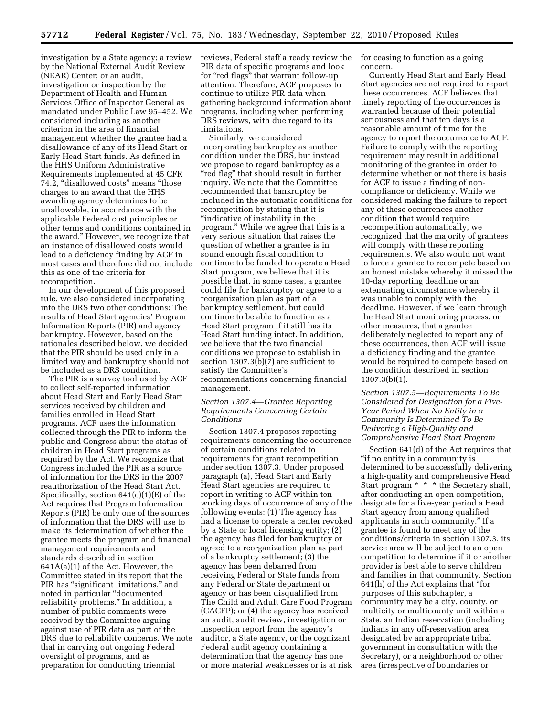investigation by a State agency; a review by the National External Audit Review (NEAR) Center; or an audit, investigation or inspection by the Department of Health and Human Services Office of Inspector General as mandated under Public Law 95–452. We considered including as another criterion in the area of financial management whether the grantee had a disallowance of any of its Head Start or Early Head Start funds. As defined in the HHS Uniform Administrative Requirements implemented at 45 CFR 74.2, "disallowed costs" means "those charges to an award that the HHS awarding agency determines to be unallowable, in accordance with the applicable Federal cost principles or other terms and conditions contained in the award.'' However, we recognize that an instance of disallowed costs would lead to a deficiency finding by ACF in most cases and therefore did not include this as one of the criteria for recompetition.

In our development of this proposed rule, we also considered incorporating into the DRS two other conditions: The results of Head Start agencies' Program Information Reports (PIR) and agency bankruptcy. However, based on the rationales described below, we decided that the PIR should be used only in a limited way and bankruptcy should not be included as a DRS condition.

The PIR is a survey tool used by ACF to collect self-reported information about Head Start and Early Head Start services received by children and families enrolled in Head Start programs. ACF uses the information collected through the PIR to inform the public and Congress about the status of children in Head Start programs as required by the Act. We recognize that Congress included the PIR as a source of information for the DRS in the 2007 reauthorization of the Head Start Act. Specifically, section 641(c)(1)(E) of the Act requires that Program Information Reports (PIR) be only one of the sources of information that the DRS will use to make its determination of whether the grantee meets the program and financial management requirements and standards described in section 641A(a)(1) of the Act. However, the Committee stated in its report that the PIR has ''significant limitations,'' and noted in particular ''documented reliability problems.'' In addition, a number of public comments were received by the Committee arguing against use of PIR data as part of the DRS due to reliability concerns. We note that in carrying out ongoing Federal oversight of programs, and as preparation for conducting triennial

reviews, Federal staff already review the PIR data of specific programs and look for ''red flags'' that warrant follow-up attention. Therefore, ACF proposes to continue to utilize PIR data when gathering background information about programs, including when performing DRS reviews, with due regard to its limitations.

Similarly, we considered incorporating bankruptcy as another condition under the DRS, but instead we propose to regard bankruptcy as a ''red flag'' that should result in further inquiry. We note that the Committee recommended that bankruptcy be included in the automatic conditions for recompetition by stating that it is ''indicative of instability in the program.'' While we agree that this is a very serious situation that raises the question of whether a grantee is in sound enough fiscal condition to continue to be funded to operate a Head Start program, we believe that it is possible that, in some cases, a grantee could file for bankruptcy or agree to a reorganization plan as part of a bankruptcy settlement, but could continue to be able to function as a Head Start program if it still has its Head Start funding intact. In addition, we believe that the two financial conditions we propose to establish in section 1307.3(b)(7) are sufficient to satisfy the Committee's recommendations concerning financial management.

## *Section 1307.4—Grantee Reporting Requirements Concerning Certain Conditions*

Section 1307.4 proposes reporting requirements concerning the occurrence of certain conditions related to requirements for grant recompetition under section 1307.3. Under proposed paragraph (a), Head Start and Early Head Start agencies are required to report in writing to ACF within ten working days of occurrence of any of the following events: (1) The agency has had a license to operate a center revoked by a State or local licensing entity; (2) the agency has filed for bankruptcy or agreed to a reorganization plan as part of a bankruptcy settlement; (3) the agency has been debarred from receiving Federal or State funds from any Federal or State department or agency or has been disqualified from The Child and Adult Care Food Program (CACFP); or (4) the agency has received an audit, audit review, investigation or inspection report from the agency's auditor, a State agency, or the cognizant Federal audit agency containing a determination that the agency has one or more material weaknesses or is at risk for ceasing to function as a going concern.

Currently Head Start and Early Head Start agencies are not required to report these occurrences. ACF believes that timely reporting of the occurrences is warranted because of their potential seriousness and that ten days is a reasonable amount of time for the agency to report the occurrence to ACF. Failure to comply with the reporting requirement may result in additional monitoring of the grantee in order to determine whether or not there is basis for ACF to issue a finding of noncompliance or deficiency. While we considered making the failure to report any of these occurrences another condition that would require recompetition automatically, we recognized that the majority of grantees will comply with these reporting requirements. We also would not want to force a grantee to recompete based on an honest mistake whereby it missed the 10-day reporting deadline or an extenuating circumstance whereby it was unable to comply with the deadline. However, if we learn through the Head Start monitoring process, or other measures, that a grantee deliberately neglected to report any of these occurrences, then ACF will issue a deficiency finding and the grantee would be required to compete based on the condition described in section 1307.3(b)(1).

# *Section 1307.5—Requirements To Be Considered for Designation for a Five-Year Period When No Entity in a Community Is Determined To Be Delivering a High-Quality and Comprehensive Head Start Program*

Section 641(d) of the Act requires that "if no entity in a community is determined to be successfully delivering a high-quality and comprehensive Head Start program \* \* \* the Secretary shall, after conducting an open competition, designate for a five-year period a Head Start agency from among qualified applicants in such community.'' If a grantee is found to meet any of the conditions/criteria in section 1307.3, its service area will be subject to an open competition to determine if it or another provider is best able to serve children and families in that community. Section 641(h) of the Act explains that ''for purposes of this subchapter, a community may be a city, county, or multicity or multicounty unit within a State, an Indian reservation (including Indians in any off-reservation area designated by an appropriate tribal government in consultation with the Secretary), or a neighborhood or other area (irrespective of boundaries or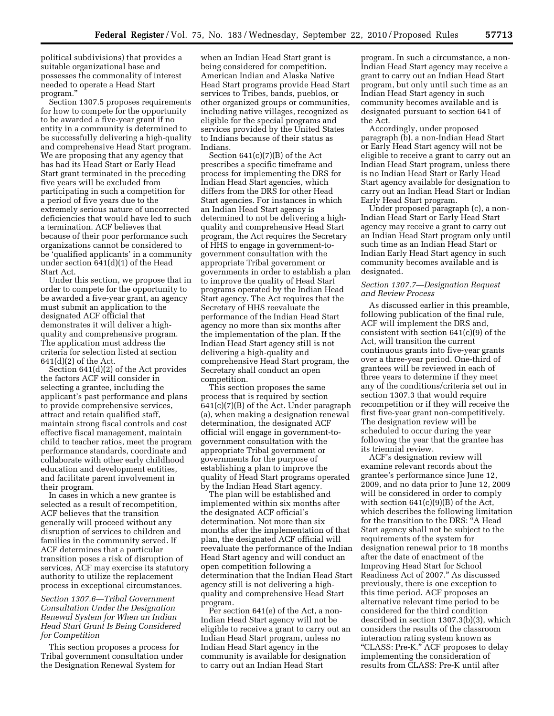political subdivisions) that provides a suitable organizational base and possesses the commonality of interest needed to operate a Head Start program.''

Section 1307.5 proposes requirements for how to compete for the opportunity to be awarded a five-year grant if no entity in a community is determined to be successfully delivering a high-quality and comprehensive Head Start program. We are proposing that any agency that has had its Head Start or Early Head Start grant terminated in the preceding five years will be excluded from participating in such a competition for a period of five years due to the extremely serious nature of uncorrected deficiencies that would have led to such a termination. ACF believes that because of their poor performance such organizations cannot be considered to be 'qualified applicants' in a community under section 641(d)(1) of the Head Start Act.

Under this section, we propose that in order to compete for the opportunity to be awarded a five-year grant, an agency must submit an application to the designated ACF official that demonstrates it will deliver a highquality and comprehensive program. The application must address the criteria for selection listed at section 641(d)(2) of the Act.

Section 641(d)(2) of the Act provides the factors ACF will consider in selecting a grantee, including the applicant's past performance and plans to provide comprehensive services, attract and retain qualified staff, maintain strong fiscal controls and cost effective fiscal management, maintain child to teacher ratios, meet the program performance standards, coordinate and collaborate with other early childhood education and development entities, and facilitate parent involvement in their program.

In cases in which a new grantee is selected as a result of recompetition, ACF believes that the transition generally will proceed without any disruption of services to children and families in the community served. If ACF determines that a particular transition poses a risk of disruption of services, ACF may exercise its statutory authority to utilize the replacement process in exceptional circumstances.

# *Section 1307.6—Tribal Government Consultation Under the Designation Renewal System for When an Indian Head Start Grant Is Being Considered for Competition*

This section proposes a process for Tribal government consultation under the Designation Renewal System for

when an Indian Head Start grant is being considered for competition. American Indian and Alaska Native Head Start programs provide Head Start services to Tribes, bands, pueblos, or other organized groups or communities, including native villages, recognized as eligible for the special programs and services provided by the United States to Indians because of their status as Indians.

Section 641(c)(7)(B) of the Act prescribes a specific timeframe and process for implementing the DRS for Indian Head Start agencies, which differs from the DRS for other Head Start agencies. For instances in which an Indian Head Start agency is determined to not be delivering a highquality and comprehensive Head Start program, the Act requires the Secretary of HHS to engage in government-togovernment consultation with the appropriate Tribal government or governments in order to establish a plan to improve the quality of Head Start programs operated by the Indian Head Start agency. The Act requires that the Secretary of HHS reevaluate the performance of the Indian Head Start agency no more than six months after the implementation of the plan. If the Indian Head Start agency still is not delivering a high-quality and comprehensive Head Start program, the Secretary shall conduct an open competition.

This section proposes the same process that is required by section 641(c)(7)(B) of the Act. Under paragraph (a), when making a designation renewal determination, the designated ACF official will engage in government-togovernment consultation with the appropriate Tribal government or governments for the purpose of establishing a plan to improve the quality of Head Start programs operated by the Indian Head Start agency.

The plan will be established and implemented within six months after the designated ACF official's determination. Not more than six months after the implementation of that plan, the designated ACF official will reevaluate the performance of the Indian Head Start agency and will conduct an open competition following a determination that the Indian Head Start agency still is not delivering a highquality and comprehensive Head Start program.

Per section 641(e) of the Act, a non-Indian Head Start agency will not be eligible to receive a grant to carry out an Indian Head Start program, unless no Indian Head Start agency in the community is available for designation to carry out an Indian Head Start

program. In such a circumstance, a non-Indian Head Start agency may receive a grant to carry out an Indian Head Start program, but only until such time as an Indian Head Start agency in such community becomes available and is designated pursuant to section 641 of the Act.

Accordingly, under proposed paragraph (b), a non-Indian Head Start or Early Head Start agency will not be eligible to receive a grant to carry out an Indian Head Start program, unless there is no Indian Head Start or Early Head Start agency available for designation to carry out an Indian Head Start or Indian Early Head Start program.

Under proposed paragraph (c), a non-Indian Head Start or Early Head Start agency may receive a grant to carry out an Indian Head Start program only until such time as an Indian Head Start or Indian Early Head Start agency in such community becomes available and is designated.

# *Section 1307.7—Designation Request and Review Process*

As discussed earlier in this preamble, following publication of the final rule, ACF will implement the DRS and, consistent with section 641(c)(9) of the Act, will transition the current continuous grants into five-year grants over a three-year period. One-third of grantees will be reviewed in each of three years to determine if they meet any of the conditions/criteria set out in section 1307.3 that would require recompetition or if they will receive the first five-year grant non-competitively. The designation review will be scheduled to occur during the year following the year that the grantee has its triennial review.

ACF's designation review will examine relevant records about the grantee's performance since June 12, 2009, and no data prior to June 12, 2009 will be considered in order to comply with section  $641(c)(9)(B)$  of the Act, which describes the following limitation for the transition to the DRS: "A Head Start agency shall not be subject to the requirements of the system for designation renewal prior to 18 months after the date of enactment of the Improving Head Start for School Readiness Act of 2007.'' As discussed previously, there is one exception to this time period. ACF proposes an alternative relevant time period to be considered for the third condition described in section 1307.3(b)(3), which considers the results of the classroom interaction rating system known as "CLASS: Pre-K." ACF proposes to delay implementing the consideration of results from CLASS: Pre-K until after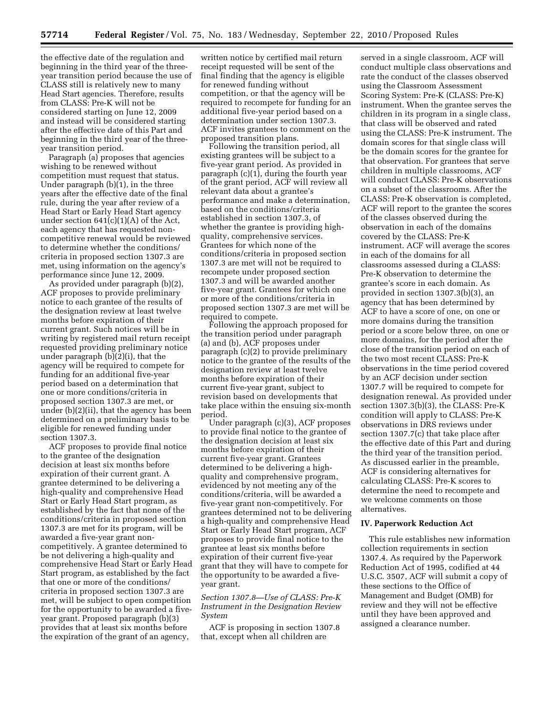the effective date of the regulation and beginning in the third year of the threeyear transition period because the use of CLASS still is relatively new to many Head Start agencies. Therefore, results from CLASS: Pre-K will not be considered starting on June 12, 2009 and instead will be considered starting after the effective date of this Part and beginning in the third year of the threeyear transition period.

Paragraph (a) proposes that agencies wishing to be renewed without competition must request that status. Under paragraph  $(b)(1)$ , in the three years after the effective date of the final rule, during the year after review of a Head Start or Early Head Start agency under section  $641(c)(1)(A)$  of the Act, each agency that has requested noncompetitive renewal would be reviewed to determine whether the conditions/ criteria in proposed section 1307.3 are met, using information on the agency's performance since June 12, 2009.

As provided under paragraph (b)(2), ACF proposes to provide preliminary notice to each grantee of the results of the designation review at least twelve months before expiration of their current grant. Such notices will be in writing by registered mail return receipt requested providing preliminary notice under paragraph (b)(2)(i), that the agency will be required to compete for funding for an additional five-year period based on a determination that one or more conditions/criteria in proposed section 1307.3 are met, or under (b)(2)(ii), that the agency has been determined on a preliminary basis to be eligible for renewed funding under section 1307.3.

ACF proposes to provide final notice to the grantee of the designation decision at least six months before expiration of their current grant. A grantee determined to be delivering a high-quality and comprehensive Head Start or Early Head Start program, as established by the fact that none of the conditions/criteria in proposed section 1307.3 are met for its program, will be awarded a five-year grant noncompetitively. A grantee determined to be not delivering a high-quality and comprehensive Head Start or Early Head Start program, as established by the fact that one or more of the conditions/ criteria in proposed section 1307.3 are met, will be subject to open competition for the opportunity to be awarded a fiveyear grant. Proposed paragraph (b)(3) provides that at least six months before the expiration of the grant of an agency,

written notice by certified mail return receipt requested will be sent of the final finding that the agency is eligible for renewed funding without competition, or that the agency will be required to recompete for funding for an additional five-year period based on a determination under section 1307.3. ACF invites grantees to comment on the proposed transition plans.

Following the transition period, all existing grantees will be subject to a five-year grant period. As provided in paragraph (c)(1), during the fourth year of the grant period, ACF will review all relevant data about a grantee's performance and make a determination, based on the conditions/criteria established in section 1307.3, of whether the grantee is providing highquality, comprehensive services. Grantees for which none of the conditions/criteria in proposed section 1307.3 are met will not be required to recompete under proposed section 1307.3 and will be awarded another five-year grant. Grantees for which one or more of the conditions/criteria in proposed section 1307.3 are met will be required to compete.

Following the approach proposed for the transition period under paragraph (a) and (b), ACF proposes under paragraph (c)(2) to provide preliminary notice to the grantee of the results of the designation review at least twelve months before expiration of their current five-year grant, subject to revision based on developments that take place within the ensuing six-month period.

Under paragraph (c)(3), ACF proposes to provide final notice to the grantee of the designation decision at least six months before expiration of their current five-year grant. Grantees determined to be delivering a highquality and comprehensive program, evidenced by not meeting any of the conditions/criteria, will be awarded a five-year grant non-competitively. For grantees determined not to be delivering a high-quality and comprehensive Head Start or Early Head Start program, ACF proposes to provide final notice to the grantee at least six months before expiration of their current five-year grant that they will have to compete for the opportunity to be awarded a fiveyear grant.

# *Section 1307.8—Use of CLASS: Pre-K Instrument in the Designation Review System*

ACF is proposing in section 1307.8 that, except when all children are

served in a single classroom, ACF will conduct multiple class observations and rate the conduct of the classes observed using the Classroom Assessment Scoring System: Pre-K (CLASS: Pre-K) instrument. When the grantee serves the children in its program in a single class, that class will be observed and rated using the CLASS: Pre-K instrument. The domain scores for that single class will be the domain scores for the grantee for that observation. For grantees that serve children in multiple classrooms, ACF will conduct CLASS: Pre-K observations on a subset of the classrooms. After the CLASS: Pre-K observation is completed, ACF will report to the grantee the scores of the classes observed during the observation in each of the domains covered by the CLASS: Pre-K instrument. ACF will average the scores in each of the domains for all classrooms assessed during a CLASS: Pre-K observation to determine the grantee's score in each domain. As provided in section 1307.3(b)(3), an agency that has been determined by ACF to have a score of one, on one or more domains during the transition period or a score below three, on one or more domains, for the period after the close of the transition period on each of the two most recent CLASS: Pre-K observations in the time period covered by an ACF decision under section 1307.7 will be required to compete for designation renewal. As provided under section 1307.3(b)(3), the CLASS: Pre-K condition will apply to CLASS: Pre-K observations in DRS reviews under section 1307.7(c) that take place after the effective date of this Part and during the third year of the transition period. As discussed earlier in the preamble, ACF is considering alternatives for calculating CLASS: Pre-K scores to determine the need to recompete and we welcome comments on those alternatives.

# **IV. Paperwork Reduction Act**

This rule establishes new information collection requirements in section 1307.4. As required by the Paperwork Reduction Act of 1995, codified at 44 U.S.C. 3507, ACF will submit a copy of these sections to the Office of Management and Budget (OMB) for review and they will not be effective until they have been approved and assigned a clearance number.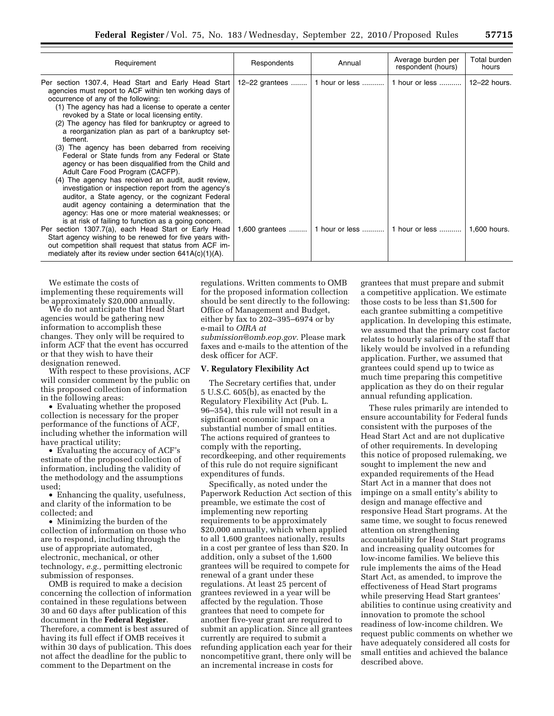| Requirement                                                                                                                                                                                                                                                                                                                                                                                                                                                                                                                                                                                                                                                                                                                                                                                                                                                                                                                                                                                                                                                                                                                                                                                                | Respondents | Annual                                         | Average burden per<br>respondent (hours) | Total burden<br>hours        |
|------------------------------------------------------------------------------------------------------------------------------------------------------------------------------------------------------------------------------------------------------------------------------------------------------------------------------------------------------------------------------------------------------------------------------------------------------------------------------------------------------------------------------------------------------------------------------------------------------------------------------------------------------------------------------------------------------------------------------------------------------------------------------------------------------------------------------------------------------------------------------------------------------------------------------------------------------------------------------------------------------------------------------------------------------------------------------------------------------------------------------------------------------------------------------------------------------------|-------------|------------------------------------------------|------------------------------------------|------------------------------|
| Per section 1307.4, Head Start and Early Head Start   12–22 grantees    1 hour or less<br>agencies must report to ACF within ten working days of<br>occurrence of any of the following:<br>(1) The agency has had a license to operate a center<br>revoked by a State or local licensing entity.<br>(2) The agency has filed for bankruptcy or agreed to<br>a reorganization plan as part of a bankruptcy set-<br>tlement.<br>(3) The agency has been debarred from receiving<br>Federal or State funds from any Federal or State<br>agency or has been disqualified from the Child and<br>Adult Care Food Program (CACFP).<br>(4) The agency has received an audit, audit review,<br>investigation or inspection report from the agency's<br>auditor, a State agency, or the cognizant Federal<br>audit agency containing a determination that the<br>agency: Has one or more material weaknesses; or<br>is at risk of failing to function as a going concern.<br>Per section 1307.7(a), each Head Start or Early Head<br>Start agency wishing to be renewed for five years with-<br>out competition shall request that status from ACF im-<br>mediately after its review under section $641A(c)(1)(A)$ . |             | 1,600 grantees  1 hour or less  1 hour or less | 1 hour or less                           | 12–22 hours.<br>1.600 hours. |

We estimate the costs of

implementing these requirements will be approximately \$20,000 annually.

We do not anticipate that Head Start agencies would be gathering new information to accomplish these changes. They only will be required to inform ACF that the event has occurred or that they wish to have their designation renewed.

With respect to these provisions, ACF will consider comment by the public on this proposed collection of information in the following areas:

• Evaluating whether the proposed collection is necessary for the proper performance of the functions of ACF, including whether the information will have practical utility;

• Evaluating the accuracy of ACF's estimate of the proposed collection of information, including the validity of the methodology and the assumptions used;

• Enhancing the quality, usefulness, and clarity of the information to be collected; and

• Minimizing the burden of the collection of information on those who are to respond, including through the use of appropriate automated, electronic, mechanical, or other technology, *e.g.,* permitting electronic submission of responses.

OMB is required to make a decision concerning the collection of information contained in these regulations between 30 and 60 days after publication of this document in the **Federal Register**. Therefore, a comment is best assured of having its full effect if OMB receives it within 30 days of publication. This does not affect the deadline for the public to comment to the Department on the

regulations. Written comments to OMB for the proposed information collection should be sent directly to the following: Office of Management and Budget, either by fax to 202–395–6974 or by e-mail to *OIRA at [submission@omb.eop.gov.](mailto:oira_submission@omb.eop.gov)* Please mark faxes and e-mails to the attention of the desk officer for ACF.

# **V. Regulatory Flexibility Act**

The Secretary certifies that, under 5 U.S.C. 605(b), as enacted by the Regulatory Flexibility Act (Pub. L. 96–354), this rule will not result in a significant economic impact on a substantial number of small entities. The actions required of grantees to comply with the reporting, recordkeeping, and other requirements of this rule do not require significant expenditures of funds.

Specifically, as noted under the Paperwork Reduction Act section of this preamble, we estimate the cost of implementing new reporting requirements to be approximately \$20,000 annually, which when applied to all 1,600 grantees nationally, results in a cost per grantee of less than \$20. In addition, only a subset of the 1,600 grantees will be required to compete for renewal of a grant under these regulations. At least 25 percent of grantees reviewed in a year will be affected by the regulation. Those grantees that need to compete for another five-year grant are required to submit an application. Since all grantees currently are required to submit a refunding application each year for their noncompetitive grant, there only will be an incremental increase in costs for

grantees that must prepare and submit a competitive application. We estimate those costs to be less than \$1,500 for each grantee submitting a competitive application. In developing this estimate, we assumed that the primary cost factor relates to hourly salaries of the staff that likely would be involved in a refunding application. Further, we assumed that grantees could spend up to twice as much time preparing this competitive application as they do on their regular annual refunding application.

These rules primarily are intended to ensure accountability for Federal funds consistent with the purposes of the Head Start Act and are not duplicative of other requirements. In developing this notice of proposed rulemaking, we sought to implement the new and expanded requirements of the Head Start Act in a manner that does not impinge on a small entity's ability to design and manage effective and responsive Head Start programs. At the same time, we sought to focus renewed attention on strengthening accountability for Head Start programs and increasing quality outcomes for low-income families. We believe this rule implements the aims of the Head Start Act, as amended, to improve the effectiveness of Head Start programs while preserving Head Start grantees' abilities to continue using creativity and innovation to promote the school readiness of low-income children. We request public comments on whether we have adequately considered all costs for small entities and achieved the balance described above.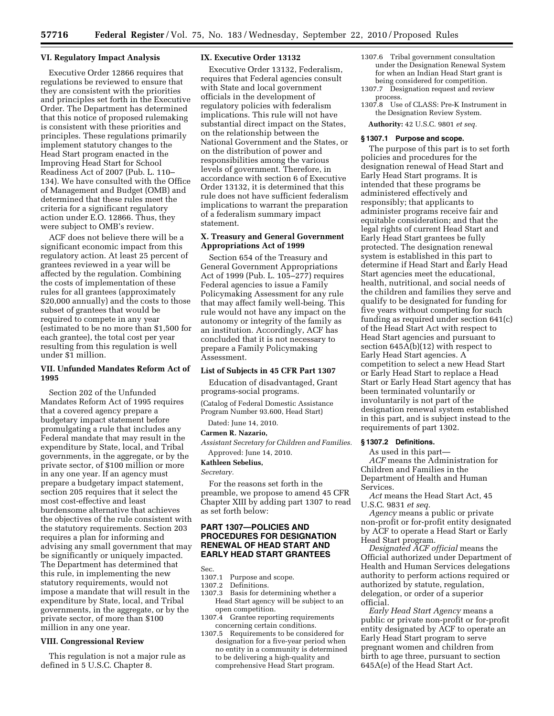**57716 Federal Register** / Vol. 75, No. 183 / Wednesday, September 22, 2010 / Proposed Rules

#### **VI. Regulatory Impact Analysis**

Executive Order 12866 requires that regulations be reviewed to ensure that they are consistent with the priorities and principles set forth in the Executive Order. The Department has determined that this notice of proposed rulemaking is consistent with these priorities and principles. These regulations primarily implement statutory changes to the Head Start program enacted in the Improving Head Start for School Readiness Act of 2007 (Pub. L. 110– 134). We have consulted with the Office of Management and Budget (OMB) and determined that these rules meet the criteria for a significant regulatory action under E.O. 12866. Thus, they were subject to OMB's review.

ACF does not believe there will be a significant economic impact from this regulatory action. At least 25 percent of grantees reviewed in a year will be affected by the regulation. Combining the costs of implementation of these rules for all grantees (approximately \$20,000 annually) and the costs to those subset of grantees that would be required to compete in any year (estimated to be no more than \$1,500 for each grantee), the total cost per year resulting from this regulation is well under \$1 million.

# **VII. Unfunded Mandates Reform Act of 1995**

Section 202 of the Unfunded Mandates Reform Act of 1995 requires that a covered agency prepare a budgetary impact statement before promulgating a rule that includes any Federal mandate that may result in the expenditure by State, local, and Tribal governments, in the aggregate, or by the private sector, of \$100 million or more in any one year. If an agency must prepare a budgetary impact statement, section 205 requires that it select the most cost-effective and least burdensome alternative that achieves the objectives of the rule consistent with the statutory requirements. Section 203 requires a plan for informing and advising any small government that may be significantly or uniquely impacted. The Department has determined that this rule, in implementing the new statutory requirements, would not impose a mandate that will result in the expenditure by State, local, and Tribal governments, in the aggregate, or by the private sector, of more than \$100 million in any one year.

## **VIII. Congressional Review**

This regulation is not a major rule as defined in 5 U.S.C. Chapter 8.

## **IX. Executive Order 13132**

Executive Order 13132, Federalism, requires that Federal agencies consult with State and local government officials in the development of regulatory policies with federalism implications. This rule will not have substantial direct impact on the States, on the relationship between the National Government and the States, or on the distribution of power and responsibilities among the various levels of government. Therefore, in accordance with section 6 of Executive Order 13132, it is determined that this rule does not have sufficient federalism implications to warrant the preparation of a federalism summary impact statement.

# **X. Treasury and General Government Appropriations Act of 1999**

Section 654 of the Treasury and General Government Appropriations Act of 1999 (Pub. L. 105–277) requires Federal agencies to issue a Family Policymaking Assessment for any rule that may affect family well-being. This rule would not have any impact on the autonomy or integrity of the family as an institution. Accordingly, ACF has concluded that it is not necessary to prepare a Family Policymaking Assessment.

# **List of Subjects in 45 CFR Part 1307**

Education of disadvantaged, Grant programs-social programs.

(Catalog of Federal Domestic Assistance Program Number 93.600, Head Start)

Dated: June 14, 2010.

# **Carmen R. Nazario,**

*Assistant Secretary for Children and Families.*  Approved: June 14, 2010.

#### **Kathleen Sebelius,**

*Secretary.* 

For the reasons set forth in the preamble, we propose to amend 45 CFR Chapter XIII by adding part 1307 to read as set forth below:

# **PART 1307—POLICIES AND PROCEDURES FOR DESIGNATION RENEWAL OF HEAD START AND EARLY HEAD START GRANTEES**

Sec.

- 1307.1 Purpose and scope.
- 1307.2 Definitions.
- 1307.3 Basis for determining whether a Head Start agency will be subject to an open competition.
- 1307.4 Grantee reporting requirements concerning certain conditions.
- 1307.5 Requirements to be considered for designation for a five-year period when no entity in a community is determined to be delivering a high-quality and comprehensive Head Start program.
- 1307.6 Tribal government consultation under the Designation Renewal System for when an Indian Head Start grant is being considered for competition.
- 1307.7 Designation request and review process.
- 1307.8 Use of CLASS: Pre-K Instrument in the Designation Review System.

**Authority:** 42 U.S.C. 9801 *et seq.* 

# **§ 1307.1 Purpose and scope.**

The purpose of this part is to set forth policies and procedures for the designation renewal of Head Start and Early Head Start programs. It is intended that these programs be administered effectively and responsibly; that applicants to administer programs receive fair and equitable consideration; and that the legal rights of current Head Start and Early Head Start grantees be fully protected. The designation renewal system is established in this part to determine if Head Start and Early Head Start agencies meet the educational, health, nutritional, and social needs of the children and families they serve and qualify to be designated for funding for five years without competing for such funding as required under section 641(c) of the Head Start Act with respect to Head Start agencies and pursuant to section 645A(b)(12) with respect to Early Head Start agencies. A competition to select a new Head Start or Early Head Start to replace a Head Start or Early Head Start agency that has been terminated voluntarily or involuntarily is not part of the designation renewal system established in this part, and is subject instead to the requirements of part 1302.

# **§ 1307.2 Definitions.**

As used in this part— *ACF* means the Administration for Children and Families in the Department of Health and Human Services.

*Act* means the Head Start Act, 45 U.S.C. 9831 *et seq.* 

*Agency* means a public or private non-profit or for-profit entity designated by ACF to operate a Head Start or Early Head Start program.

*Designated ACF official* means the Official authorized under Department of Health and Human Services delegations authority to perform actions required or authorized by statute, regulation, delegation, or order of a superior official.

*Early Head Start Agency* means a public or private non-profit or for-profit entity designated by ACF to operate an Early Head Start program to serve pregnant women and children from birth to age three, pursuant to section 645A(e) of the Head Start Act.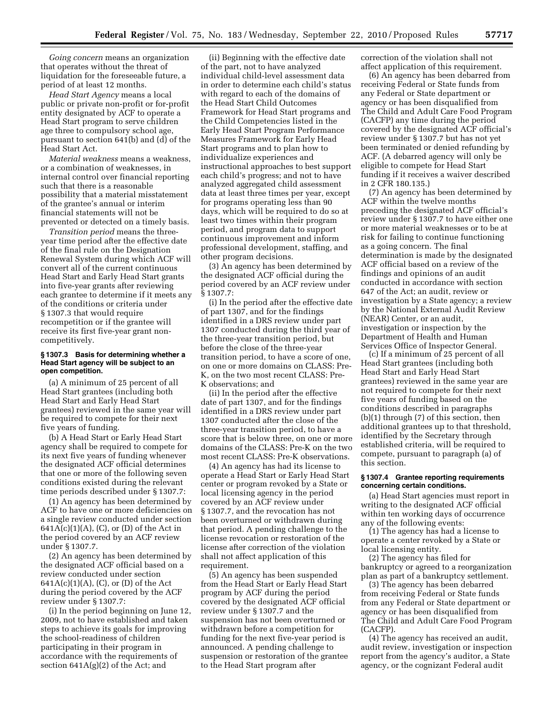*Going concern* means an organization that operates without the threat of liquidation for the foreseeable future, a period of at least 12 months.

*Head Start Agency* means a local public or private non-profit or for-profit entity designated by ACF to operate a Head Start program to serve children age three to compulsory school age, pursuant to section 641(b) and (d) of the Head Start Act.

*Material weakness* means a weakness, or a combination of weaknesses, in internal control over financial reporting such that there is a reasonable possibility that a material misstatement of the grantee's annual or interim financial statements will not be prevented or detected on a timely basis.

*Transition period* means the threeyear time period after the effective date of the final rule on the Designation Renewal System during which ACF will convert all of the current continuous Head Start and Early Head Start grants into five-year grants after reviewing each grantee to determine if it meets any of the conditions or criteria under § 1307.3 that would require recompetition or if the grantee will receive its first five-year grant noncompetitively.

#### **§ 1307.3 Basis for determining whether a Head Start agency will be subject to an open competition.**

(a) A minimum of 25 percent of all Head Start grantees (including both Head Start and Early Head Start grantees) reviewed in the same year will be required to compete for their next five years of funding.

(b) A Head Start or Early Head Start agency shall be required to compete for its next five years of funding whenever the designated ACF official determines that one or more of the following seven conditions existed during the relevant time periods described under § 1307.7:

(1) An agency has been determined by ACF to have one or more deficiencies on a single review conducted under section  $641A(c)(1)(A)$ , (C), or (D) of the Act in the period covered by an ACF review under § 1307.7.

(2) An agency has been determined by the designated ACF official based on a review conducted under section  $641A(c)(1)(A)$ , (C), or (D) of the Act during the period covered by the ACF review under § 1307.7:

(i) In the period beginning on June 12, 2009, not to have established and taken steps to achieve its goals for improving the school-readiness of children participating in their program in accordance with the requirements of section 641A(g)(2) of the Act; and

(ii) Beginning with the effective date of the part, not to have analyzed individual child-level assessment data in order to determine each child's status with regard to each of the domains of the Head Start Child Outcomes Framework for Head Start programs and the Child Competencies listed in the Early Head Start Program Performance Measures Framework for Early Head Start programs and to plan how to individualize experiences and instructional approaches to best support each child's progress; and not to have analyzed aggregated child assessment data at least three times per year, except for programs operating less than 90 days, which will be required to do so at least two times within their program period, and program data to support continuous improvement and inform professional development, staffing, and other program decisions.

(3) An agency has been determined by the designated ACF official during the period covered by an ACF review under § 1307.7:

(i) In the period after the effective date of part 1307, and for the findings identified in a DRS review under part 1307 conducted during the third year of the three-year transition period, but before the close of the three-year transition period, to have a score of one, on one or more domains on CLASS: Pre-K, on the two most recent CLASS: Pre-K observations; and

(ii) In the period after the effective date of part 1307, and for the findings identified in a DRS review under part 1307 conducted after the close of the three-year transition period, to have a score that is below three, on one or more domains of the CLASS: Pre-K on the two most recent CLASS: Pre-K observations.

(4) An agency has had its license to operate a Head Start or Early Head Start center or program revoked by a State or local licensing agency in the period covered by an ACF review under § 1307.7, and the revocation has not been overturned or withdrawn during that period. A pending challenge to the license revocation or restoration of the license after correction of the violation shall not affect application of this requirement.

(5) An agency has been suspended from the Head Start or Early Head Start program by ACF during the period covered by the designated ACF official review under § 1307.7 and the suspension has not been overturned or withdrawn before a competition for funding for the next five-year period is announced. A pending challenge to suspension or restoration of the grantee to the Head Start program after

correction of the violation shall not affect application of this requirement.

(6) An agency has been debarred from receiving Federal or State funds from any Federal or State department or agency or has been disqualified from The Child and Adult Care Food Program (CACFP) any time during the period covered by the designated ACF official's review under § 1307.7 but has not yet been terminated or denied refunding by ACF. (A debarred agency will only be eligible to compete for Head Start funding if it receives a waiver described in 2 CFR 180.135.)

(7) An agency has been determined by ACF within the twelve months preceding the designated ACF official's review under § 1307.7 to have either one or more material weaknesses or to be at risk for failing to continue functioning as a going concern. The final determination is made by the designated ACF official based on a review of the findings and opinions of an audit conducted in accordance with section 647 of the Act; an audit, review or investigation by a State agency; a review by the National External Audit Review (NEAR) Center, or an audit, investigation or inspection by the Department of Health and Human Services Office of Inspector General.

(c) If a minimum of 25 percent of all Head Start grantees (including both Head Start and Early Head Start grantees) reviewed in the same year are not required to compete for their next five years of funding based on the conditions described in paragraphs (b)(1) through (7) of this section, then additional grantees up to that threshold, identified by the Secretary through established criteria, will be required to compete, pursuant to paragraph (a) of this section.

## **§ 1307.4 Grantee reporting requirements concerning certain conditions.**

(a) Head Start agencies must report in writing to the designated ACF official within ten working days of occurrence any of the following events:

(1) The agency has had a license to operate a center revoked by a State or local licensing entity.

(2) The agency has filed for bankruptcy or agreed to a reorganization plan as part of a bankruptcy settlement.

(3) The agency has been debarred from receiving Federal or State funds from any Federal or State department or agency or has been disqualified from The Child and Adult Care Food Program (CACFP).

(4) The agency has received an audit, audit review, investigation or inspection report from the agency's auditor, a State agency, or the cognizant Federal audit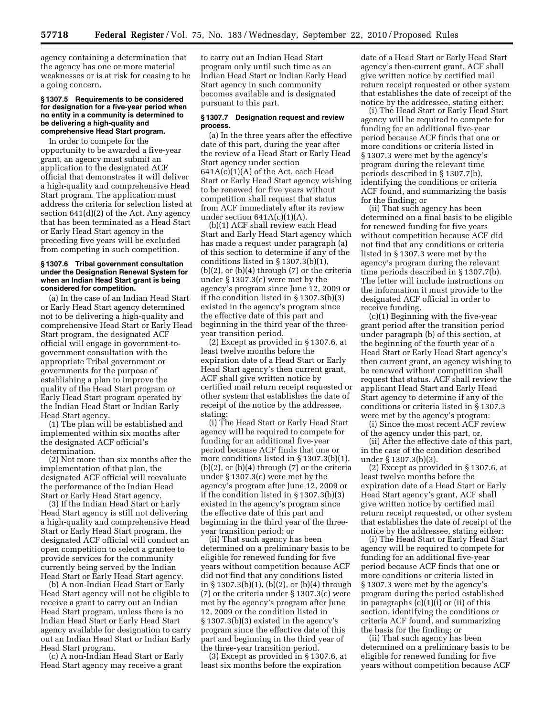agency containing a determination that the agency has one or more material weaknesses or is at risk for ceasing to be a going concern.

#### **§ 1307.5 Requirements to be considered for designation for a five-year period when no entity in a community is determined to be delivering a high-quality and comprehensive Head Start program.**

In order to compete for the opportunity to be awarded a five-year grant, an agency must submit an application to the designated ACF official that demonstrates it will deliver a high-quality and comprehensive Head Start program. The application must address the criteria for selection listed at section 641(d)(2) of the Act. Any agency that has been terminated as a Head Start or Early Head Start agency in the preceding five years will be excluded from competing in such competition.

#### **§ 1307.6 Tribal government consultation under the Designation Renewal System for when an Indian Head Start grant is being considered for competition.**

(a) In the case of an Indian Head Start or Early Head Start agency determined not to be delivering a high-quality and comprehensive Head Start or Early Head Start program, the designated ACF official will engage in government-togovernment consultation with the appropriate Tribal government or governments for the purpose of establishing a plan to improve the quality of the Head Start program or Early Head Start program operated by the Indian Head Start or Indian Early Head Start agency.

(1) The plan will be established and implemented within six months after the designated ACF official's determination.

(2) Not more than six months after the implementation of that plan, the designated ACF official will reevaluate the performance of the Indian Head Start or Early Head Start agency.

(3) If the Indian Head Start or Early Head Start agency is still not delivering a high-quality and comprehensive Head Start or Early Head Start program, the designated ACF official will conduct an open competition to select a grantee to provide services for the community currently being served by the Indian Head Start or Early Head Start agency.

(b) A non-Indian Head Start or Early Head Start agency will not be eligible to receive a grant to carry out an Indian Head Start program, unless there is no Indian Head Start or Early Head Start agency available for designation to carry out an Indian Head Start or Indian Early Head Start program.

(c) A non-Indian Head Start or Early Head Start agency may receive a grant

to carry out an Indian Head Start program only until such time as an Indian Head Start or Indian Early Head Start agency in such community becomes available and is designated pursuant to this part.

#### **§ 1307.7 Designation request and review process.**

(a) In the three years after the effective date of this part, during the year after the review of a Head Start or Early Head Start agency under section 641A(c)(1)(A) of the Act, each Head Start or Early Head Start agency wishing to be renewed for five years without competition shall request that status from ACF immediately after its review under section  $641A(c)(1)(A)$ .

(b)(1) ACF shall review each Head Start and Early Head Start agency which has made a request under paragraph (a) of this section to determine if any of the conditions listed in § 1307.3(b)(1),  $(b)(2)$ , or  $(b)(4)$  through  $(7)$  or the criteria under § 1307.3(c) were met by the agency's program since June 12, 2009 or if the condition listed in § 1307.3(b)(3) existed in the agency's program since the effective date of this part and beginning in the third year of the threeyear transition period.

(2) Except as provided in § 1307.6, at least twelve months before the expiration date of a Head Start or Early Head Start agency's then current grant, ACF shall give written notice by certified mail return receipt requested or other system that establishes the date of receipt of the notice by the addressee, stating:

(i) The Head Start or Early Head Start agency will be required to compete for funding for an additional five-year period because ACF finds that one or more conditions listed in § 1307.3(b)(1),  $(b)(2)$ , or  $(b)(4)$  through  $(7)$  or the criteria under § 1307.3(c) were met by the agency's program after June 12, 2009 or if the condition listed in § 1307.3(b)(3) existed in the agency's program since the effective date of this part and beginning in the third year of the threeyear transition period; or

(ii) That such agency has been determined on a preliminary basis to be eligible for renewed funding for five years without competition because ACF did not find that any conditions listed in § 1307.3(b)(1), (b)(2), or (b)(4) through (7) or the criteria under § 1307.3(c) were met by the agency's program after June 12, 2009 or the condition listed in § 1307.3(b)(3) existed in the agency's program since the effective date of this part and beginning in the third year of the three-year transition period.

(3) Except as provided in § 1307.6, at least six months before the expiration

date of a Head Start or Early Head Start agency's then-current grant, ACF shall give written notice by certified mail return receipt requested or other system that establishes the date of receipt of the notice by the addressee, stating either:

(i) The Head Start or Early Head Start agency will be required to compete for funding for an additional five-year period because ACF finds that one or more conditions or criteria listed in § 1307.3 were met by the agency's program during the relevant time periods described in § 1307.7(b), identifying the conditions or criteria ACF found, and summarizing the basis for the finding; or

(ii) That such agency has been determined on a final basis to be eligible for renewed funding for five years without competition because ACF did not find that any conditions or criteria listed in § 1307.3 were met by the agency's program during the relevant time periods described in § 1307.7(b). The letter will include instructions on the information it must provide to the designated ACF official in order to receive funding.

(c)(1) Beginning with the five-year grant period after the transition period under paragraph (b) of this section, at the beginning of the fourth year of a Head Start or Early Head Start agency's then current grant, an agency wishing to be renewed without competition shall request that status. ACF shall review the applicant Head Start and Early Head Start agency to determine if any of the conditions or criteria listed in § 1307.3 were met by the agency's program:

(i) Since the most recent ACF review of the agency under this part, or,

(ii) After the effective date of this part, in the case of the condition described under § 1307.3(b)(3).

(2) Except as provided in § 1307.6, at least twelve months before the expiration date of a Head Start or Early Head Start agency's grant, ACF shall give written notice by certified mail return receipt requested, or other system that establishes the date of receipt of the notice by the addressee, stating either:

(i) The Head Start or Early Head Start agency will be required to compete for funding for an additional five-year period because ACF finds that one or more conditions or criteria listed in § 1307.3 were met by the agency's program during the period established in paragraphs (c)(1)(i) or (ii) of this section, identifying the conditions or criteria ACF found, and summarizing the basis for the finding; or

(ii) That such agency has been determined on a preliminary basis to be eligible for renewed funding for five years without competition because ACF